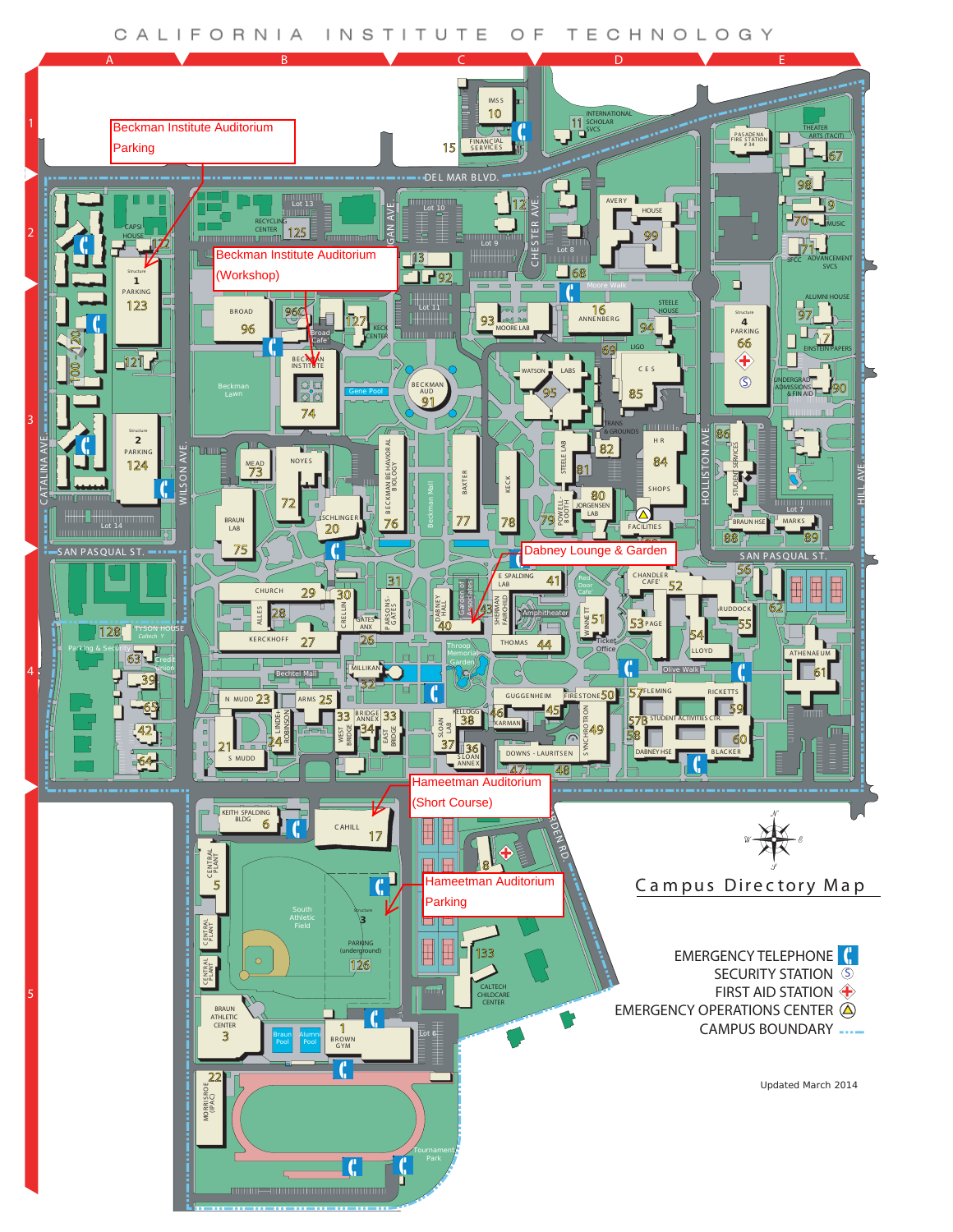